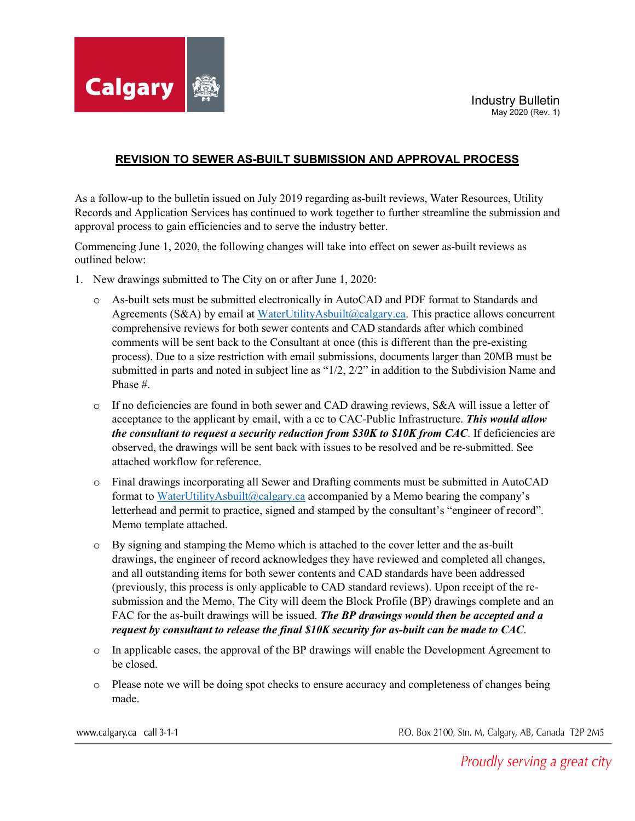

## **REVISION TO SEWER AS-BUILT SUBMISSION AND APPROVAL PROCESS**

As a follow-up to the bulletin issued on July 2019 regarding as-built reviews, Water Resources, Utility Records and Application Services has continued to work together to further streamline the submission and approval process to gain efficiencies and to serve the industry better.

Commencing June 1, 2020, the following changes will take into effect on sewer as-built reviews as outlined below:

- 1. New drawings submitted to The City on or after June 1, 2020:
	- o As-built sets must be submitted electronically in AutoCAD and PDF format to Standards and Agreements (S&A) by email at [WaterUtilityAsbuilt@calgary.ca.](mailto:WaterUtilityAsbuilt@calgary.ca) This practice allows concurrent comprehensive reviews for both sewer contents and CAD standards after which combined comments will be sent back to the Consultant at once (this is different than the pre-existing process). Due to a size restriction with email submissions, documents larger than 20MB must be submitted in parts and noted in subject line as "1/2, 2/2" in addition to the Subdivision Name and Phase #.
	- o If no deficiencies are found in both sewer and CAD drawing reviews, S&A will issue a letter of acceptance to the applicant by email, with a cc to CAC-Public Infrastructure. *This would allow the consultant to request a security reduction from \$30K to \$10K from CAC*. If deficiencies are observed, the drawings will be sent back with issues to be resolved and be re-submitted. See attached workflow for reference.
	- o Final drawings incorporating all Sewer and Drafting comments must be submitted in AutoCAD format to [WaterUtilityAsbuilt@calgary.ca](mailto:WaterUtilityAsbuilt@calgary.ca) accompanied by a Memo bearing the company's letterhead and permit to practice, signed and stamped by the consultant's "engineer of record". Memo template attached.
	- o By signing and stamping the Memo which is attached to the cover letter and the as-built drawings, the engineer of record acknowledges they have reviewed and completed all changes, and all outstanding items for both sewer contents and CAD standards have been addressed (previously, this process is only applicable to CAD standard reviews). Upon receipt of the resubmission and the Memo, The City will deem the Block Profile (BP) drawings complete and an FAC for the as-built drawings will be issued. *The BP drawings would then be accepted and a request by consultant to release the final \$10K security for as-built can be made to CAC*.
	- o In applicable cases, the approval of the BP drawings will enable the Development Agreement to be closed.
	- o Please note we will be doing spot checks to ensure accuracy and completeness of changes being made.

www.calgary.ca call 3-1-1

P.O. Box 2100, Stn. M, Calgary, AB, Canada T2P 2M5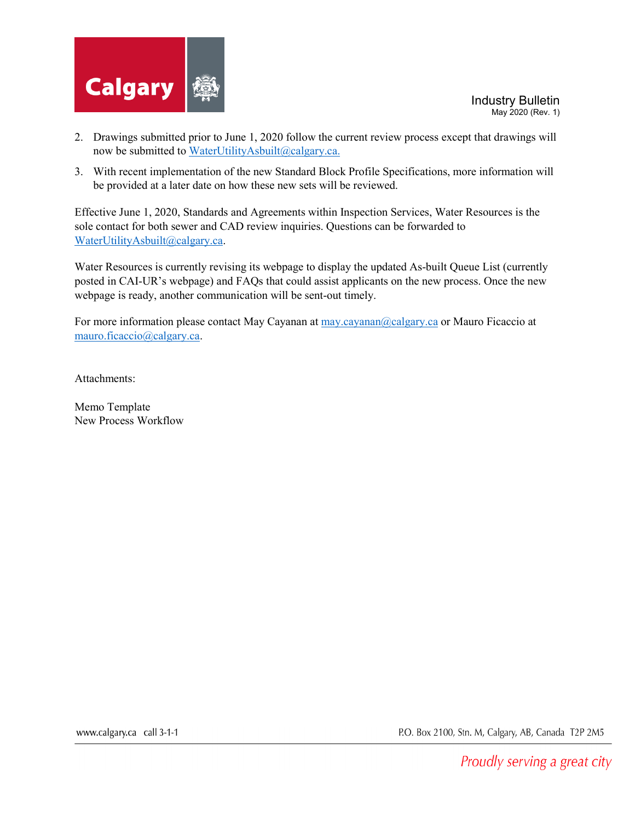

- 2. Drawings submitted prior to June 1, 2020 follow the current review process except that drawings will now be submitted to [WaterUtilityAsbuilt@calgary.ca.](mailto:WaterUtilityAsbuilt@calgary.ca)
- 3. With recent implementation of the new Standard Block Profile Specifications, more information will be provided at a later date on how these new sets will be reviewed.

Effective June 1, 2020, Standards and Agreements within Inspection Services, Water Resources is the sole contact for both sewer and CAD review inquiries. Questions can be forwarded to [WaterUtilityAsbuilt@calgary.ca.](mailto:WaterUtilityAsbuilt@calgary.ca)

Water Resources is currently revising its webpage to display the updated As-built Queue List (currently posted in CAI-UR's webpage) and FAQs that could assist applicants on the new process. Once the new webpage is ready, another communication will be sent-out timely.

For more information please contact May Cayanan a[t may.cayanan@calgary.ca](mailto:may.cayanan@calgary.ca) or Mauro Ficaccio at [mauro.ficaccio@calgary.ca.](mailto:mauro.ficaccio@calgary.ca)

Attachments:

Memo Template New Process Workflow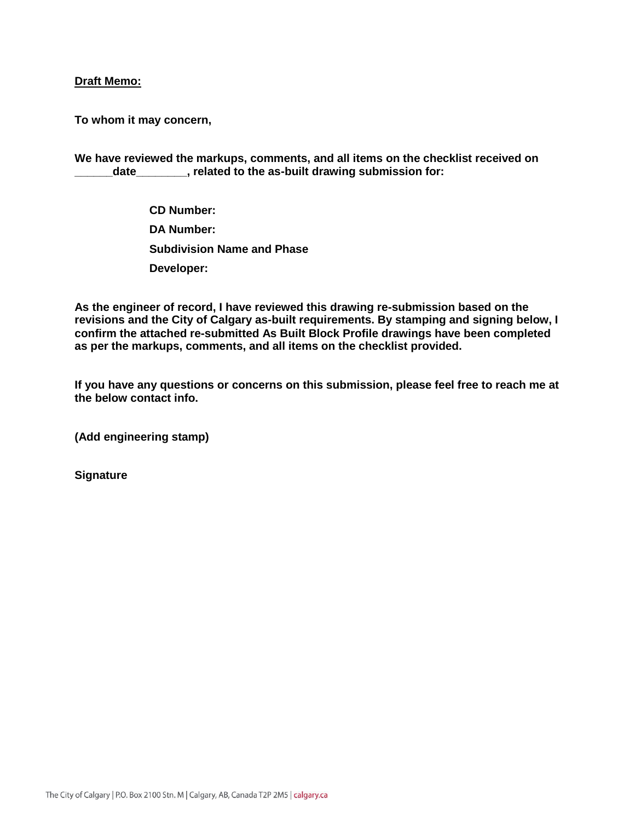## **Draft Memo:**

**To whom it may concern,** 

**We have reviewed the markups, comments, and all items on the checklist received on**  date **date**, related to the as-built drawing submission for:

> **CD Number: DA Number: Subdivision Name and Phase Developer:**

**As the engineer of record, I have reviewed this drawing re-submission based on the revisions and the City of Calgary as-built requirements. By stamping and signing below, I confirm the attached re-submitted As Built Block Profile drawings have been completed as per the markups, comments, and all items on the checklist provided.** 

**If you have any questions or concerns on this submission, please feel free to reach me at the below contact info.** 

**(Add engineering stamp)** 

**Signature**